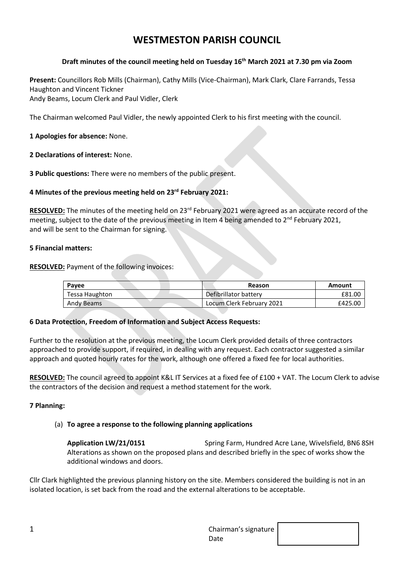# **WESTMESTON PARISH COUNCIL**

## **Draft minutes of the council meeting held on Tuesday 16 th March 2021 at 7.30 pm via Zoom**

**Present:** Councillors Rob Mills (Chairman), Cathy Mills (Vice-Chairman), Mark Clark, Clare Farrands, Tessa Haughton and Vincent Tickner Andy Beams, Locum Clerk and Paul Vidler, Clerk

The Chairman welcomed Paul Vidler, the newly appointed Clerk to his first meeting with the council.

# **1 Apologies for absence:** None.

**2 Declarations of interest:** None.

**3 Public questions:** There were no members of the public present.

# **4 Minutes of the previous meeting held on 23 rd February 2021:**

RESOLVED: The minutes of the meeting held on 23<sup>rd</sup> February 2021 were agreed as an accurate record of the meeting, subject to the date of the previous meeting in Item 4 being amended to  $2^{nd}$  February 2021, and will be sent to the Chairman for signing.

## **5 Financial matters:**

**RESOLVED:** Payment of the following invoices:

| Pavee          | Reason                    | Amount  |
|----------------|---------------------------|---------|
| Tessa Haughton | Defibrillator battery     | £81.00  |
| Andy Beams     | Locum Clerk February 2021 | £425.00 |

## **6 Data Protection, Freedom of Information and Subject Access Requests:**

Further to the resolution at the previous meeting, the Locum Clerk provided details of three contractors approached to provide support, if required, in dealing with any request. Each contractor suggested a similar approach and quoted hourly rates for the work, although one offered a fixed fee for local authorities.

**RESOLVED:** The council agreed to appoint K&L IT Services at a fixed fee of £100 + VAT. The Locum Clerk to advise the contractors of the decision and request a method statement for the work.

## **7 Planning:**

## (a) **To agree a response to the following planning applications**

**Application LW/21/0151** Spring Farm, Hundred Acre Lane, Wivelsfield, BN6 8SH Alterations as shown on the proposed plans and described briefly in the spec of works show the additional windows and doors.

Cllr Clark highlighted the previous planning history on the site. Members considered the building is not in an isolated location, is set back from the road and the external alterations to be acceptable.

| ᅩ | Chairman's signature |  |
|---|----------------------|--|
|   | Date                 |  |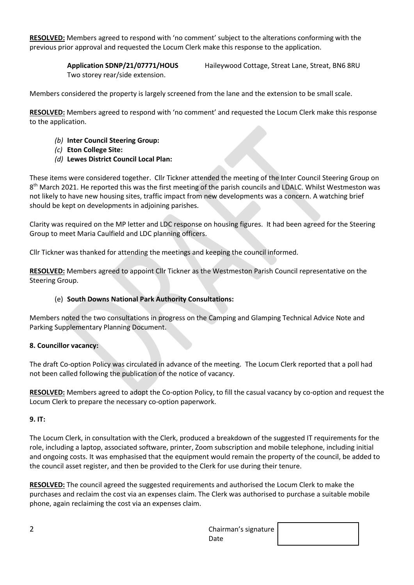**RESOLVED:** Members agreed to respond with 'no comment' subject to the alterations conforming with the previous prior approval and requested the Locum Clerk make this response to the application.

Two storey rear/side extension.

**Application SDNP/21/07771/HOUS** Haileywood Cottage, Streat Lane, Streat, BN6 8RU

Members considered the property is largely screened from the lane and the extension to be small scale.

**RESOLVED:** Members agreed to respond with 'no comment' and requested the Locum Clerk make this response to the application.

- *(b)* **Inter Council Steering Group:**
- *(c)* **Eton College Site:**
- *(d)* **Lewes District Council Local Plan:**

These items were considered together. Cllr Tickner attended the meeting of the Inter Council Steering Group on 8<sup>th</sup> March 2021. He reported this was the first meeting of the parish councils and LDALC. Whilst Westmeston was not likely to have new housing sites, traffic impact from new developments was a concern. A watching brief should be kept on developments in adjoining parishes.

Clarity was required on the MP letter and LDC response on housing figures. It had been agreed for the Steering Group to meet Maria Caulfield and LDC planning officers.

Cllr Tickner was thanked for attending the meetings and keeping the council informed.

**RESOLVED:** Members agreed to appoint Cllr Tickner as the Westmeston Parish Council representative on the Steering Group.

## (e) **South Downs National Park Authority Consultations:**

Members noted the two consultations in progress on the Camping and Glamping Technical Advice Note and Parking Supplementary Planning Document.

## **8. Councillor vacancy:**

The draft Co-option Policy was circulated in advance of the meeting. The Locum Clerk reported that a poll had not been called following the publication of the notice of vacancy.

**RESOLVED:** Members agreed to adopt the Co-option Policy, to fill the casual vacancy by co-option and request the Locum Clerk to prepare the necessary co-option paperwork.

## **9. IT:**

The Locum Clerk, in consultation with the Clerk, produced a breakdown of the suggested IT requirements for the role, including a laptop, associated software, printer, Zoom subscription and mobile telephone, including initial and ongoing costs. It was emphasised that the equipment would remain the property of the council, be added to the council asset register, and then be provided to the Clerk for use during their tenure.

**RESOLVED:** The council agreed the suggested requirements and authorised the Locum Clerk to make the purchases and reclaim the cost via an expenses claim. The Clerk was authorised to purchase a suitable mobile phone, again reclaiming the cost via an expenses claim.

| ~<br><u>.</u> | Chairman's signature $\vert$ |  |
|---------------|------------------------------|--|
|               | Date                         |  |